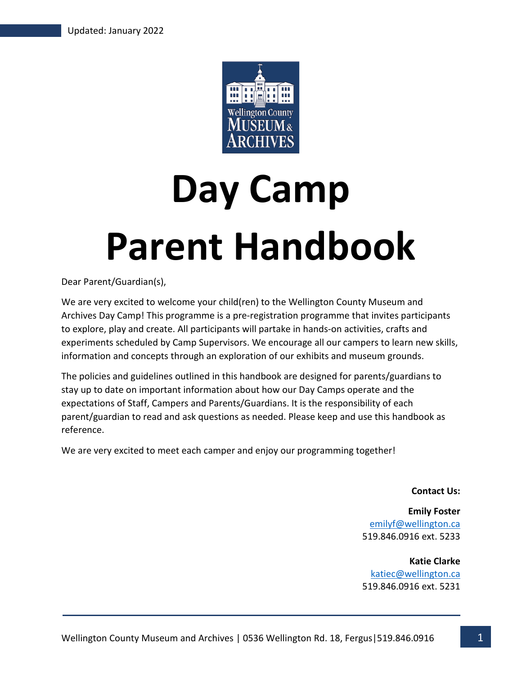

# **Day Camp Parent Handbook**

Dear Parent/Guardian(s),

We are very excited to welcome your child(ren) to the Wellington County Museum and Archives Day Camp! This programme is a pre-registration programme that invites participants to explore, play and create. All participants will partake in hands-on activities, crafts and experiments scheduled by Camp Supervisors. We encourage all our campers to learn new skills, information and concepts through an exploration of our exhibits and museum grounds.

The policies and guidelines outlined in this handbook are designed for parents/guardians to stay up to date on important information about how our Day Camps operate and the expectations of Staff, Campers and Parents/Guardians. It is the responsibility of each parent/guardian to read and ask questions as needed. Please keep and use this handbook as reference.

We are very excited to meet each camper and enjoy our programming together!

**Contact Us:**

**Emily Foster** emilyf@wellington.ca 519.846.0916 ext. 5233

**Katie Clarke** katiec@wellington.ca 519.846.0916 ext. 5231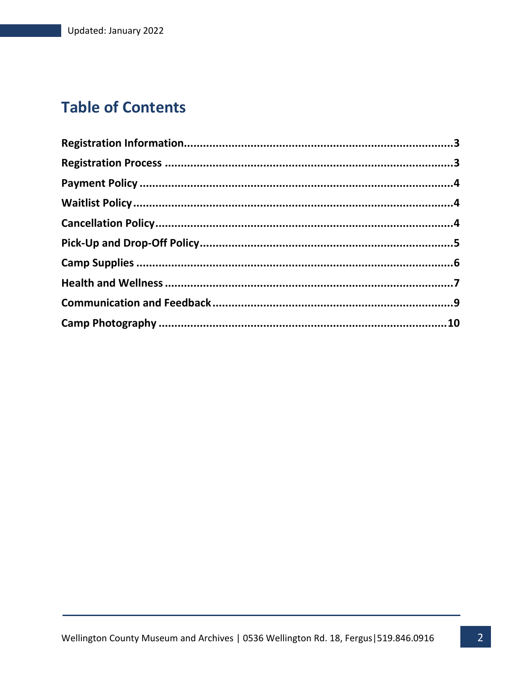## **Table of Contents**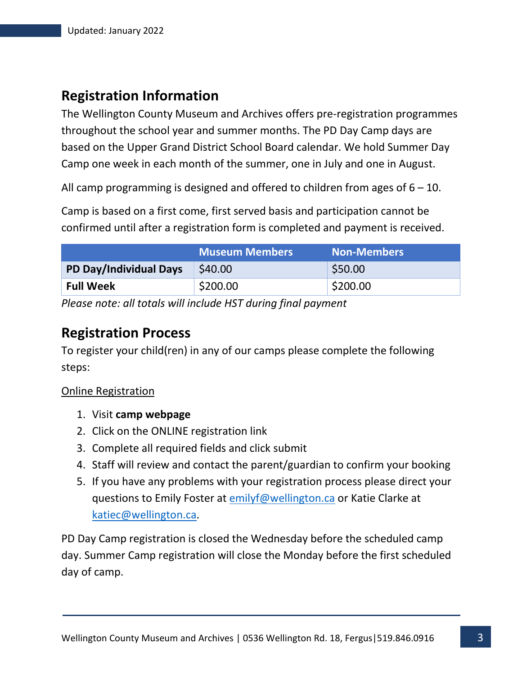## **Registration Information**

The Wellington County Museum and Archives offers pre-registration programmes throughout the school year and summer months. The PD Day Camp days are based on the Upper Grand District School Board calendar. We hold Summer Day Camp one week in each month of the summer, one in July and one in August.

All camp programming is designed and offered to children from ages of  $6 - 10$ .

Camp is based on a first come, first served basis and participation cannot be confirmed until after a registration form is completed and payment is received.

|                        | <b>Museum Members</b> | <b>Non-Members</b> |
|------------------------|-----------------------|--------------------|
| PD Day/Individual Days | \$40.00               | \$50.00            |
| <b>Full Week</b>       | \$200.00              | \$200.00           |

*Please note: all totals will include HST during final payment*

### **Registration Process**

To register your child(ren) in any of our camps please complete the following steps:

#### Online Registration

- 1. Visit **camp webpage**
- 2. Click on the ONLINE registration link
- 3. Complete all required fields and click submit
- 4. Staff will review and contact the parent/guardian to confirm your booking
- 5. If you have any problems with your registration process please direct your questions to Emily Foster at emilyf@wellington.ca or Katie Clarke at katiec@wellington.ca.

PD Day Camp registration is closed the Wednesday before the scheduled camp day. Summer Camp registration will close the Monday before the first scheduled day of camp.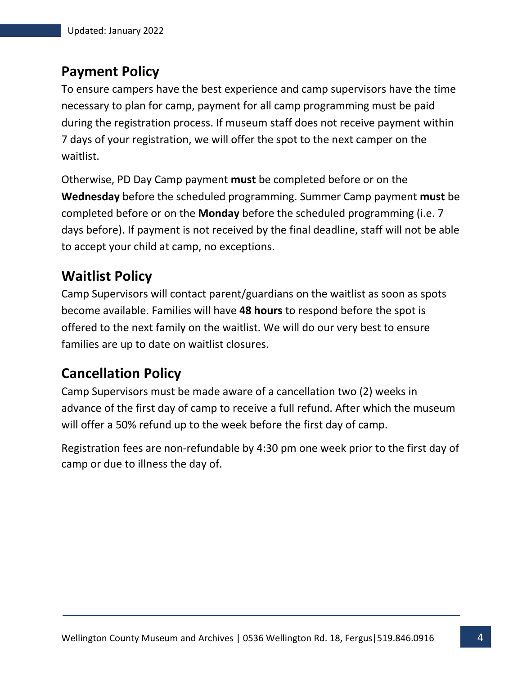## **Payment Policy**

To ensure campers have the best experience and camp supervisors have the time necessary to plan for camp, payment for all camp programming must be paid during the registration process. If museum staff does not receive payment within 7 days of your registration, we will offer the spot to the next camper on the waitlist.

Otherwise, PD Day Camp payment **must** be completed before or on the **Wednesday** before the scheduled programming. Summer Camp payment **must** be completed before or on the **Monday** before the scheduled programming (i.e. 7 days before). If payment is not received by the final deadline, staff will not be able to accept your child at camp, no exceptions.

## **Waitlist Policy**

Camp Supervisors will contact parent/guardians on the waitlist as soon as spots become available. Families will have **48 hours** to respond before the spot is offered to the next family on the waitlist. We will do our very best to ensure families are up to date on waitlist closures.

## **Cancellation Policy**

Camp Supervisors must be made aware of a cancellation two (2) weeks in advance of the first day of camp to receive a full refund. After which the museum will offer a 50% refund up to the week before the first day of camp.

Registration fees are non-refundable by 4:30 pm one week prior to the first day of camp or due to illness the day of.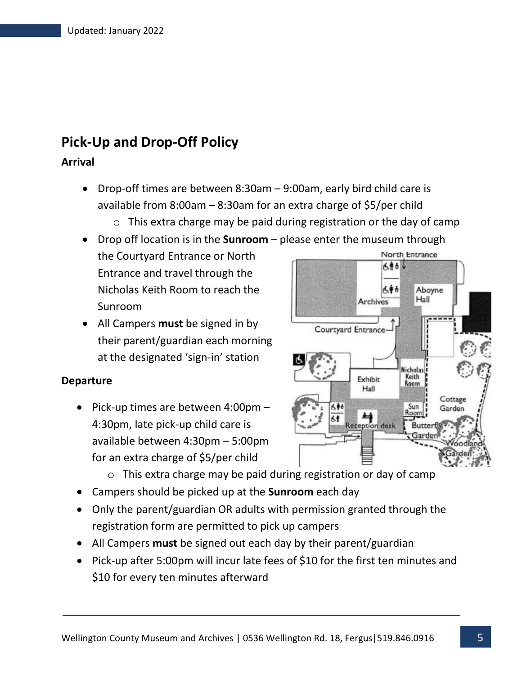## **Pick-Up and Drop-Off Policy**

#### **Arrival**

- Drop-off times are between 8:30am 9:00am, early bird child care is available from 8:00am – 8:30am for an extra charge of \$5/per child
	- $\circ$  This extra charge may be paid during registration or the day of camp
- Drop off location is in the **Sunroom** please enter the museum through North Entrance the Courtyard Entrance or North 大唐香港 Entrance and travel through the Nicholas Keith Room to reach the 人争击 Hall **Archives** Sunroom
- All Campers **must** be signed in by their parent/guardian each morning at the designated 'sign-in' station

#### **Departure**

• Pick-up times are between 4:00pm – 4:30pm, late pick-up child care is available between 4:30pm – 5:00pm for an extra charge of \$5/per child



- o This extra charge may be paid during registration or day of camp
- Campers should be picked up at the **Sunroom** each day
- Only the parent/guardian OR adults with permission granted through the registration form are permitted to pick up campers
- All Campers **must** be signed out each day by their parent/guardian
- Pick-up after 5:00pm will incur late fees of \$10 for the first ten minutes and \$10 for every ten minutes afterward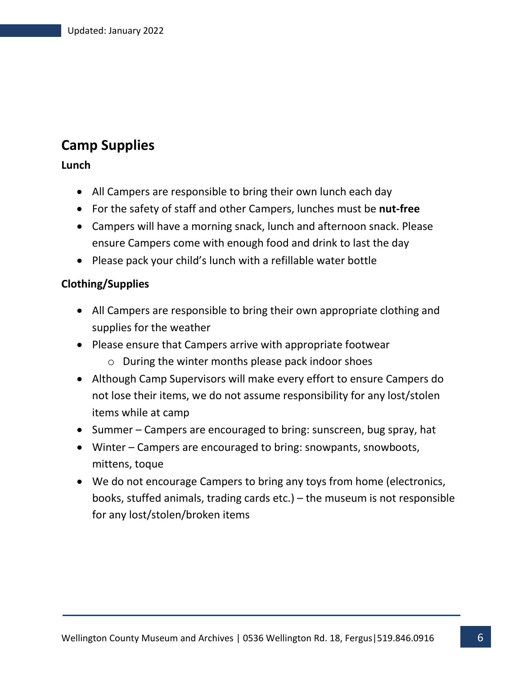## **Camp Supplies**

**Lunch**

- All Campers are responsible to bring their own lunch each day
- For the safety of staff and other Campers, lunches must be **nut-free**
- Campers will have a morning snack, lunch and afternoon snack. Please ensure Campers come with enough food and drink to last the day
- Please pack your child's lunch with a refillable water bottle

#### **Clothing/Supplies**

- All Campers are responsible to bring their own appropriate clothing and supplies for the weather
- Please ensure that Campers arrive with appropriate footwear
	- o During the winter months please pack indoor shoes
- Although Camp Supervisors will make every effort to ensure Campers do not lose their items, we do not assume responsibility for any lost/stolen items while at camp
- Summer Campers are encouraged to bring: sunscreen, bug spray, hat
- Winter Campers are encouraged to bring: snowpants, snowboots, mittens, toque
- We do not encourage Campers to bring any toys from home (electronics, books, stuffed animals, trading cards etc.) – the museum is not responsible for any lost/stolen/broken items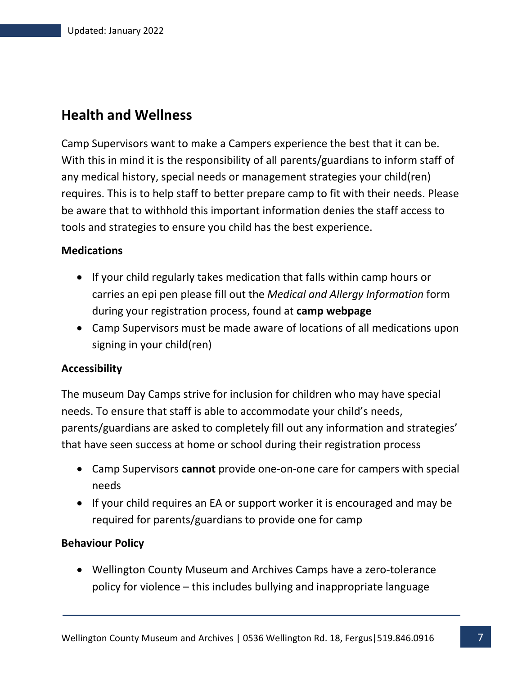## **Health and Wellness**

Camp Supervisors want to make a Campers experience the best that it can be. With this in mind it is the responsibility of all parents/guardians to inform staff of any medical history, special needs or management strategies your child(ren) requires. This is to help staff to better prepare camp to fit with their needs. Please be aware that to withhold this important information denies the staff access to tools and strategies to ensure you child has the best experience.

#### **Medications**

- If your child regularly takes medication that falls within camp hours or carries an epi pen please fill out the *Medical and Allergy Information* form during your registration process, found at **camp webpage**
- Camp Supervisors must be made aware of locations of all medications upon signing in your child(ren)

#### **Accessibility**

The museum Day Camps strive for inclusion for children who may have special needs. To ensure that staff is able to accommodate your child's needs, parents/guardians are asked to completely fill out any information and strategies' that have seen success at home or school during their registration process

- Camp Supervisors **cannot** provide one-on-one care for campers with special needs
- If your child requires an EA or support worker it is encouraged and may be required for parents/guardians to provide one for camp

#### **Behaviour Policy**

• Wellington County Museum and Archives Camps have a zero-tolerance policy for violence – this includes bullying and inappropriate language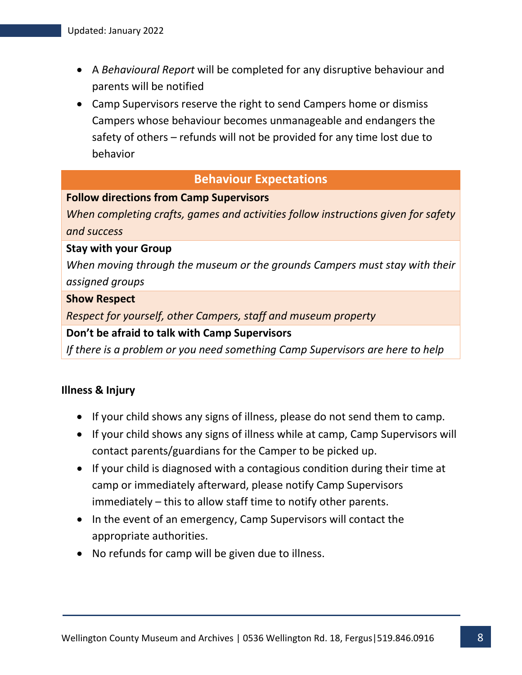- A *Behavioural Report* will be completed for any disruptive behaviour and parents will be notified
- Camp Supervisors reserve the right to send Campers home or dismiss Campers whose behaviour becomes unmanageable and endangers the safety of others – refunds will not be provided for any time lost due to behavior

#### **Behaviour Expectations**

#### **Follow directions from Camp Supervisors**

*When completing crafts, games and activities follow instructions given for safety and success*

#### **Stay with your Group**

*When moving through the museum or the grounds Campers must stay with their assigned groups*

#### **Show Respect**

*Respect for yourself, other Campers, staff and museum property*

#### **Don't be afraid to talk with Camp Supervisors**

*If there is a problem or you need something Camp Supervisors are here to help*

#### **Illness & Injury**

- If your child shows any signs of illness, please do not send them to camp.
- If your child shows any signs of illness while at camp, Camp Supervisors will contact parents/guardians for the Camper to be picked up.
- If your child is diagnosed with a contagious condition during their time at camp or immediately afterward, please notify Camp Supervisors immediately – this to allow staff time to notify other parents.
- In the event of an emergency, Camp Supervisors will contact the appropriate authorities.
- No refunds for camp will be given due to illness.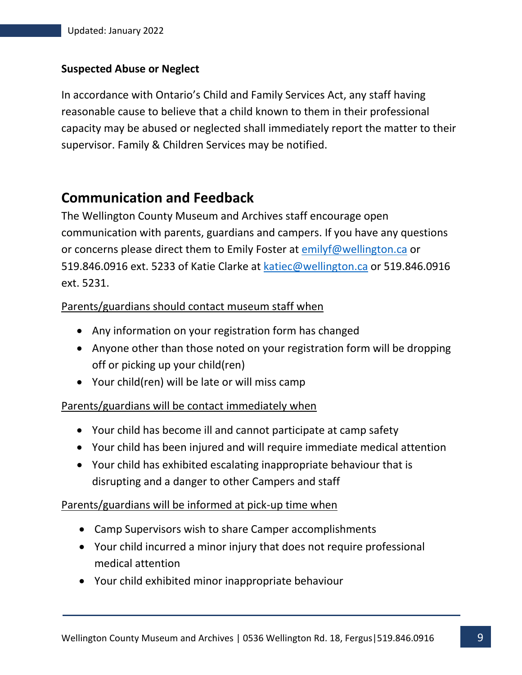#### **Suspected Abuse or Neglect**

In accordance with Ontario's Child and Family Services Act, any staff having reasonable cause to believe that a child known to them in their professional capacity may be abused or neglected shall immediately report the matter to their supervisor. Family & Children Services may be notified.

## **Communication and Feedback**

The Wellington County Museum and Archives staff encourage open communication with parents, guardians and campers. If you have any questions or concerns please direct them to Emily Foster at emilyf@wellington.ca or 519.846.0916 ext. 5233 of Katie Clarke at katiec@wellington.ca or 519.846.0916 ext. 5231.

#### Parents/guardians should contact museum staff when

- Any information on your registration form has changed
- Anyone other than those noted on your registration form will be dropping off or picking up your child(ren)
- Your child(ren) will be late or will miss camp

#### Parents/guardians will be contact immediately when

- Your child has become ill and cannot participate at camp safety
- Your child has been injured and will require immediate medical attention
- Your child has exhibited escalating inappropriate behaviour that is disrupting and a danger to other Campers and staff

#### Parents/guardians will be informed at pick-up time when

- Camp Supervisors wish to share Camper accomplishments
- Your child incurred a minor injury that does not require professional medical attention
- Your child exhibited minor inappropriate behaviour